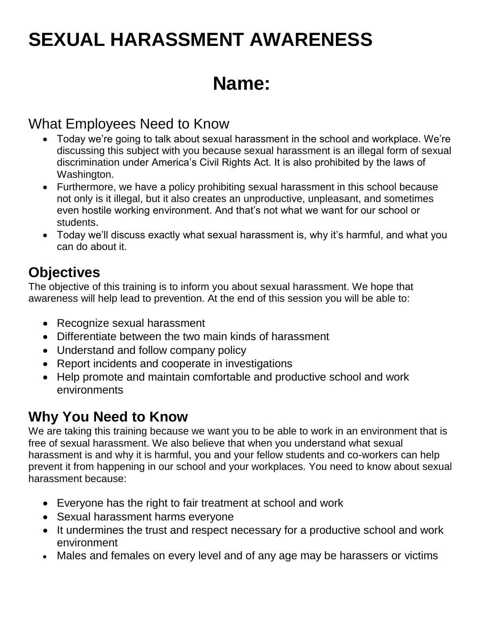# **SEXUAL HARASSMENT AWARENESS**

## **Name:**

### What Employees Need to Know

- Today we're going to talk about sexual harassment in the school and workplace. We're discussing this subject with you because sexual harassment is an illegal form of sexual discrimination under America's Civil Rights Act. It is also prohibited by the laws of Washington.
- Furthermore, we have a policy prohibiting sexual harassment in this school because not only is it illegal, but it also creates an unproductive, unpleasant, and sometimes even hostile working environment. And that's not what we want for our school or students.
- Today we'll discuss exactly what sexual harassment is, why it's harmful, and what you can do about it.

### **Objectives**

The objective of this training is to inform you about sexual harassment. We hope that awareness will help lead to prevention. At the end of this session you will be able to:

- Recognize sexual harassment
- Differentiate between the two main kinds of harassment
- Understand and follow company policy
- Report incidents and cooperate in investigations
- Help promote and maintain comfortable and productive school and work environments

### **Why You Need to Know**

We are taking this training because we want you to be able to work in an environment that is free of sexual harassment. We also believe that when you understand what sexual harassment is and why it is harmful, you and your fellow students and co-workers can help prevent it from happening in our school and your workplaces. You need to know about sexual harassment because:

- Everyone has the right to fair treatment at school and work
- Sexual harassment harms everyone
- It undermines the trust and respect necessary for a productive school and work environment
- Males and females on every level and of any age may be harassers or victims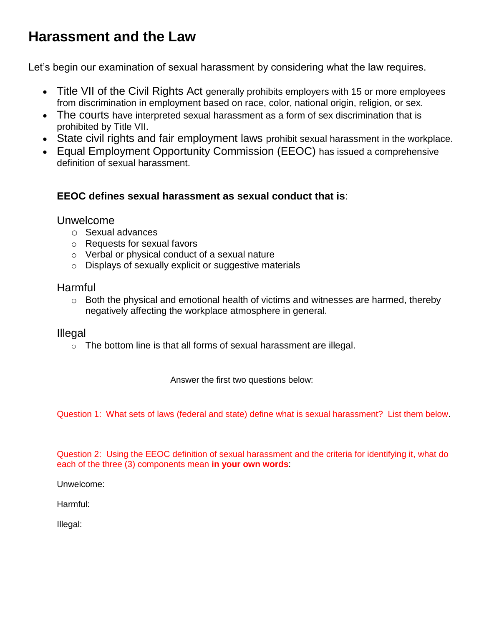### **Harassment and the Law**

Let's begin our examination of sexual harassment by considering what the law requires.

- Title VII of the Civil Rights Act generally prohibits employers with 15 or more employees from discrimination in employment based on race, color, national origin, religion, or sex.
- The courts have interpreted sexual harassment as a form of sex discrimination that is prohibited by Title VII.
- State civil rights and fair employment laws prohibit sexual harassment in the workplace.
- Equal Employment Opportunity Commission (EEOC) has issued a comprehensive definition of sexual harassment.

#### **EEOC defines sexual harassment as sexual conduct that is**:

#### Unwelcome

- o Sexual advances
- o Requests for sexual favors
- o Verbal or physical conduct of a sexual nature
- o Displays of sexually explicit or suggestive materials

#### Harmful

o Both the physical and emotional health of victims and witnesses are harmed, thereby negatively affecting the workplace atmosphere in general.

#### Illegal

o The bottom line is that all forms of sexual harassment are illegal.

Answer the first two questions below:

Question 1: What sets of laws (federal and state) define what is sexual harassment? List them below.

Question 2: Using the EEOC definition of sexual harassment and the criteria for identifying it, what do each of the three (3) components mean **in your own words**:

Unwelcome:

Harmful:

Illegal: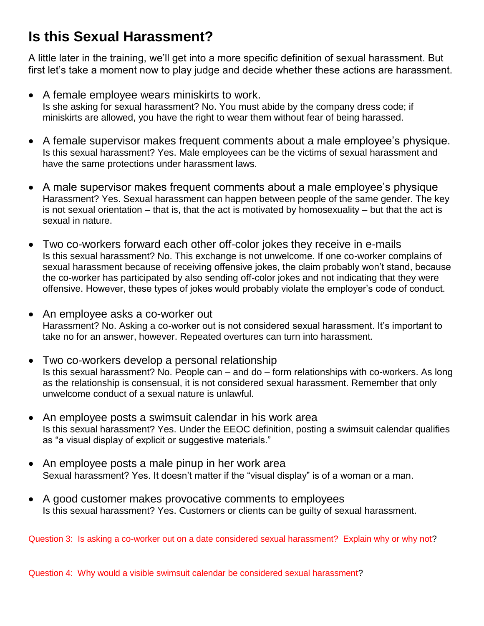### **Is this Sexual Harassment?**

A little later in the training, we'll get into a more specific definition of sexual harassment. But first let's take a moment now to play judge and decide whether these actions are harassment.

- A female employee wears miniskirts to work. Is she asking for sexual harassment? No. You must abide by the company dress code; if miniskirts are allowed, you have the right to wear them without fear of being harassed.
- A female supervisor makes frequent comments about a male employee's physique. Is this sexual harassment? Yes. Male employees can be the victims of sexual harassment and have the same protections under harassment laws.
- A male supervisor makes frequent comments about a male employee's physique Harassment? Yes. Sexual harassment can happen between people of the same gender. The key is not sexual orientation – that is, that the act is motivated by homosexuality – but that the act is sexual in nature.
- Two co-workers forward each other off-color jokes they receive in e-mails Is this sexual harassment? No. This exchange is not unwelcome. If one co-worker complains of sexual harassment because of receiving offensive jokes, the claim probably won't stand, because the co-worker has participated by also sending off-color jokes and not indicating that they were offensive. However, these types of jokes would probably violate the employer's code of conduct.
- An employee asks a co-worker out Harassment? No. Asking a co-worker out is not considered sexual harassment. It's important to take no for an answer, however. Repeated overtures can turn into harassment.
- Two co-workers develop a personal relationship Is this sexual harassment? No. People can – and do – form relationships with co-workers. As long as the relationship is consensual, it is not considered sexual harassment. Remember that only unwelcome conduct of a sexual nature is unlawful.
- An employee posts a swimsuit calendar in his work area Is this sexual harassment? Yes. Under the EEOC definition, posting a swimsuit calendar qualifies as "a visual display of explicit or suggestive materials."
- An employee posts a male pinup in her work area Sexual harassment? Yes. It doesn't matter if the "visual display" is of a woman or a man.
- A good customer makes provocative comments to employees Is this sexual harassment? Yes. Customers or clients can be guilty of sexual harassment.

Question 3: Is asking a co-worker out on a date considered sexual harassment? Explain why or why not?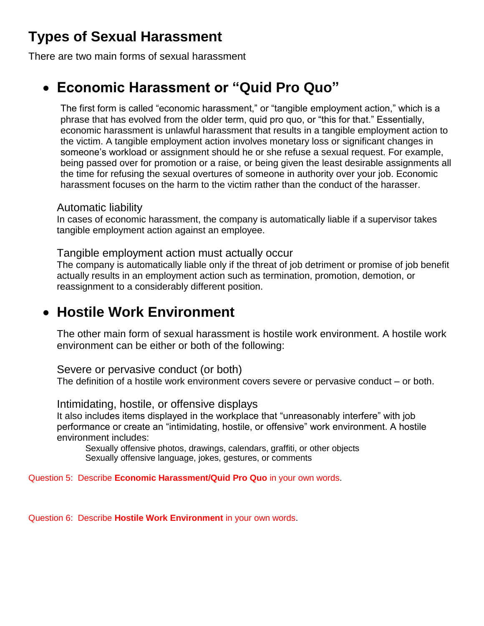### **Types of Sexual Harassment**

There are two main forms of sexual harassment

### **Economic Harassment or "Quid Pro Quo"**

The first form is called "economic harassment," or "tangible employment action," which is a phrase that has evolved from the older term, quid pro quo, or "this for that." Essentially, economic harassment is unlawful harassment that results in a tangible employment action to the victim. A tangible employment action involves monetary loss or significant changes in someone's workload or assignment should he or she refuse a sexual request. For example, being passed over for promotion or a raise, or being given the least desirable assignments all the time for refusing the sexual overtures of someone in authority over your job. Economic harassment focuses on the harm to the victim rather than the conduct of the harasser.

#### Automatic liability

In cases of economic harassment, the company is automatically liable if a supervisor takes tangible employment action against an employee.

Tangible employment action must actually occur

The company is automatically liable only if the threat of job detriment or promise of job benefit actually results in an employment action such as termination, promotion, demotion, or reassignment to a considerably different position.

### **Hostile Work Environment**

The other main form of sexual harassment is hostile work environment. A hostile work environment can be either or both of the following:

Severe or pervasive conduct (or both)

The definition of a hostile work environment covers severe or pervasive conduct – or both.

Intimidating, hostile, or offensive displays

It also includes items displayed in the workplace that "unreasonably interfere" with job performance or create an "intimidating, hostile, or offensive" work environment. A hostile environment includes:

Sexually offensive photos, drawings, calendars, graffiti, or other objects Sexually offensive language, jokes, gestures, or comments

Question 5: Describe **Economic Harassment/Quid Pro Quo** in your own words.

Question 6: Describe **Hostile Work Environment** in your own words.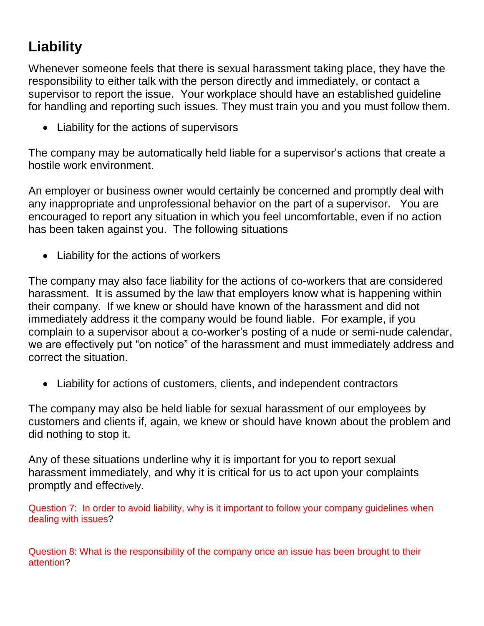## **Liability**

Whenever someone feels that there is sexual harassment taking place, they have the responsibility to either talk with the person directly and immediately, or contact a supervisor to report the issue. Your workplace should have an established guideline for handling and reporting such issues. They must train you and you must follow them.

Liability for the actions of supervisors

The company may be automatically held liable for a supervisor's actions that create a hostile work environment.

An employer or business owner would certainly be concerned and promptly deal with any inappropriate and unprofessional behavior on the part of a supervisor. You are encouraged to report any situation in which you feel uncomfortable, even if no action has been taken against you. The following situations

• Liability for the actions of workers

The company may also face liability for the actions of co-workers that are considered harassment. It is assumed by the law that employers know what is happening within their company. If we knew or should have known of the harassment and did not immediately address it the company would be found liable. For example, if you complain to a supervisor about a co-worker's posting of a nude or semi-nude calendar, we are effectively put "on notice" of the harassment and must immediately address and correct the situation.

Liability for actions of customers, clients, and independent contractors

The company may also be held liable for sexual harassment of our employees by customers and clients if, again, we knew or should have known about the problem and did nothing to stop it.

Any of these situations underline why it is important for you to report sexual harassment immediately, and why it is critical for us to act upon your complaints promptly and effectively.

Question 7: In order to avoid liability, why is it important to follow your company guidelines when dealing with issues?

Question 8: What is the responsibility of the company once an issue has been brought to their attention?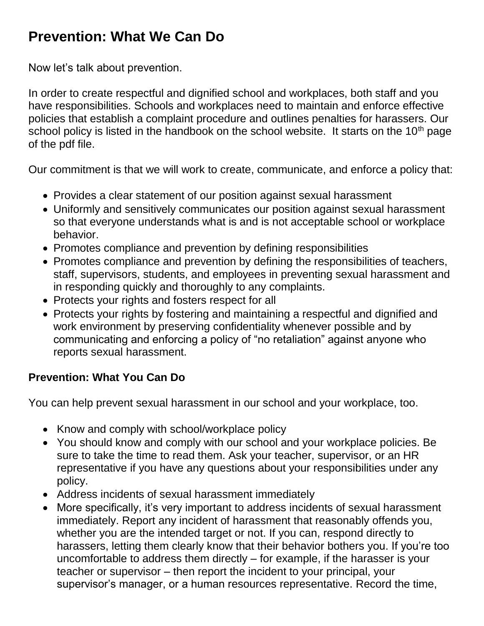### **Prevention: What We Can Do**

Now let's talk about prevention.

In order to create respectful and dignified school and workplaces, both staff and you have responsibilities. Schools and workplaces need to maintain and enforce effective policies that establish a complaint procedure and outlines penalties for harassers. Our school policy is listed in the handbook on the school website. It starts on the  $10<sup>th</sup>$  page of the pdf file.

Our commitment is that we will work to create, communicate, and enforce a policy that:

- Provides a clear statement of our position against sexual harassment
- Uniformly and sensitively communicates our position against sexual harassment so that everyone understands what is and is not acceptable school or workplace behavior.
- Promotes compliance and prevention by defining responsibilities
- Promotes compliance and prevention by defining the responsibilities of teachers, staff, supervisors, students, and employees in preventing sexual harassment and in responding quickly and thoroughly to any complaints.
- Protects your rights and fosters respect for all
- Protects your rights by fostering and maintaining a respectful and dignified and work environment by preserving confidentiality whenever possible and by communicating and enforcing a policy of "no retaliation" against anyone who reports sexual harassment.

### **Prevention: What You Can Do**

You can help prevent sexual harassment in our school and your workplace, too.

- Know and comply with school/workplace policy
- You should know and comply with our school and your workplace policies. Be sure to take the time to read them. Ask your teacher, supervisor, or an HR representative if you have any questions about your responsibilities under any policy.
- Address incidents of sexual harassment immediately
- More specifically, it's very important to address incidents of sexual harassment immediately. Report any incident of harassment that reasonably offends you, whether you are the intended target or not. If you can, respond directly to harassers, letting them clearly know that their behavior bothers you. If you're too uncomfortable to address them directly – for example, if the harasser is your teacher or supervisor – then report the incident to your principal, your supervisor's manager, or a human resources representative. Record the time,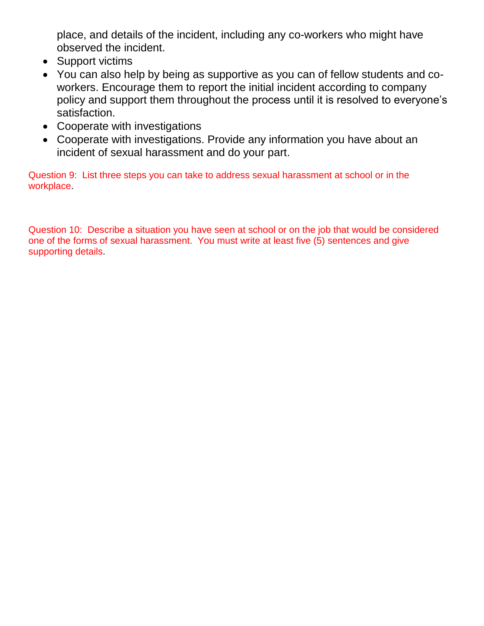place, and details of the incident, including any co-workers who might have observed the incident.

- Support victims
- You can also help by being as supportive as you can of fellow students and coworkers. Encourage them to report the initial incident according to company policy and support them throughout the process until it is resolved to everyone's satisfaction.
- Cooperate with investigations
- Cooperate with investigations. Provide any information you have about an incident of sexual harassment and do your part.

Question 9: List three steps you can take to address sexual harassment at school or in the workplace.

Question 10: Describe a situation you have seen at school or on the job that would be considered one of the forms of sexual harassment. You must write at least five (5) sentences and give supporting details.